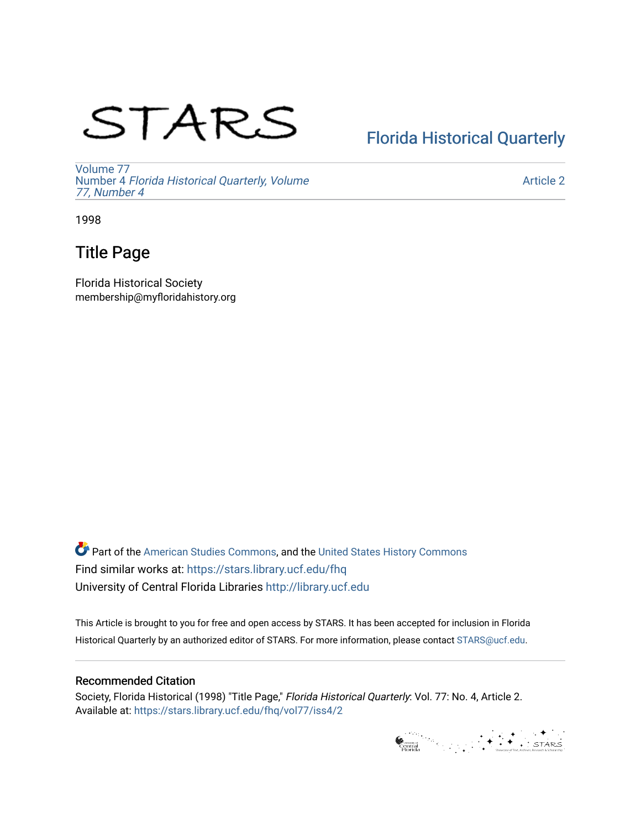# STARS

## [Florida Historical Quarterly](https://stars.library.ucf.edu/fhq)

[Volume 77](https://stars.library.ucf.edu/fhq/vol77) Number 4 [Florida Historical Quarterly, Volume](https://stars.library.ucf.edu/fhq/vol77/iss4)  [77, Number 4](https://stars.library.ucf.edu/fhq/vol77/iss4)

[Article 2](https://stars.library.ucf.edu/fhq/vol77/iss4/2) 

1998

### Title Page

Florida Historical Society membership@myfloridahistory.org

**C** Part of the [American Studies Commons](http://network.bepress.com/hgg/discipline/439?utm_source=stars.library.ucf.edu%2Ffhq%2Fvol77%2Fiss4%2F2&utm_medium=PDF&utm_campaign=PDFCoverPages), and the United States History Commons Find similar works at: <https://stars.library.ucf.edu/fhq> University of Central Florida Libraries [http://library.ucf.edu](http://library.ucf.edu/) 

This Article is brought to you for free and open access by STARS. It has been accepted for inclusion in Florida Historical Quarterly by an authorized editor of STARS. For more information, please contact [STARS@ucf.edu.](mailto:STARS@ucf.edu)

### Recommended Citation

Society, Florida Historical (1998) "Title Page," Florida Historical Quarterly: Vol. 77: No. 4, Article 2. Available at: [https://stars.library.ucf.edu/fhq/vol77/iss4/2](https://stars.library.ucf.edu/fhq/vol77/iss4/2?utm_source=stars.library.ucf.edu%2Ffhq%2Fvol77%2Fiss4%2F2&utm_medium=PDF&utm_campaign=PDFCoverPages) 

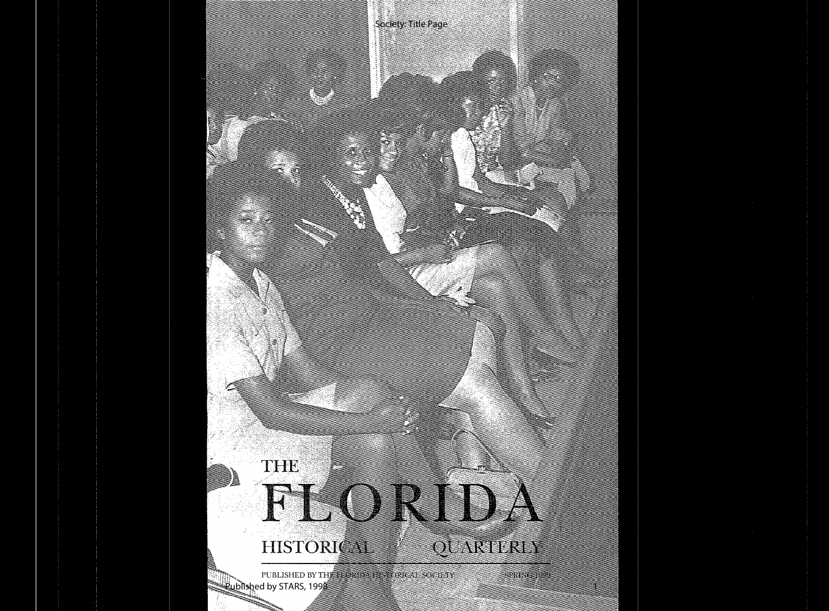## FLORID, HISTORICAL P QUARTERLY

Society: Title Page

PUBLISHED BY THE FLORIDA HISTORICAL SOCIETY  $\mathsf{Rub}$ lished by STARS, 199 $\mathsf{R}$ 

THE

**SPRING TOWE** 

1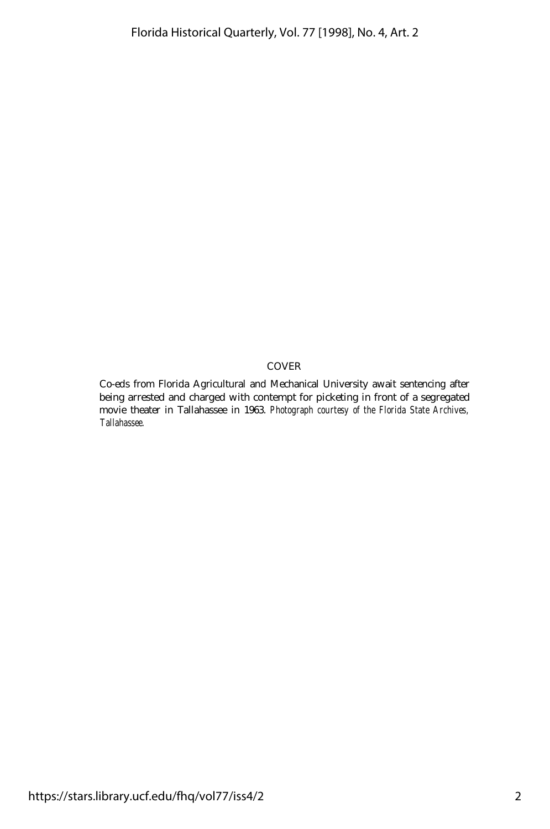#### COVER

Co-eds from Florida Agricultural and Mechanical University await sentencing after being arrested and charged with contempt for picketing in front of a segregated movie theater in Tallahassee in 1963. *Photograph courtesy of the Florida State Archives, Tallahassee.*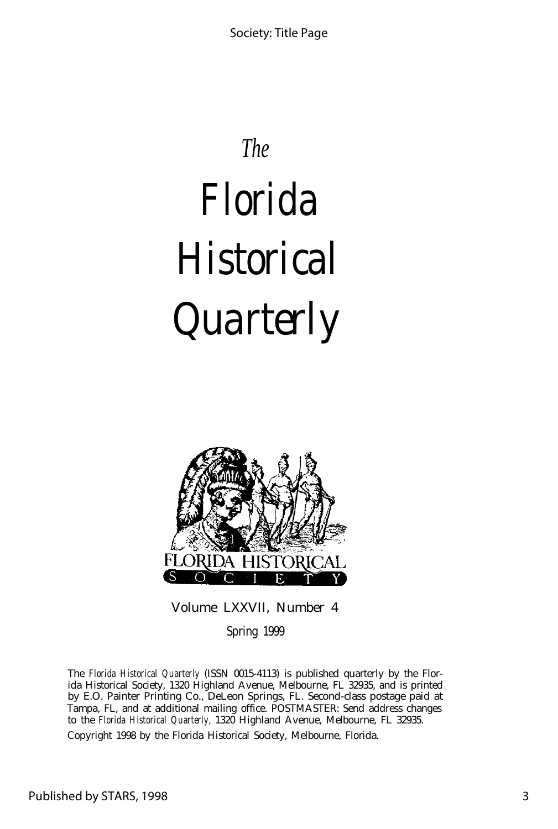## *The*

# *Florida Historical Quarterly*



Volume LXXVII, Number 4

Spring 1999

The *Florida Historical Quarterly* (ISSN 0015-4113) is published quarterly by the Florida Historical Society, 1320 Highland Avenue, Melbourne, FL 32935, and is printed by E.O. Painter Printing Co., DeLeon Springs, FL. Second-class postage paid at Tampa, FL, and at additional mailing office. POSTMASTER: Send address changes to the *Florida Historical Quarterly,* 1320 Highland Avenue, Melbourne, FL 32935.

Copyright 1998 by the Florida Historical Society, Melbourne, Florida.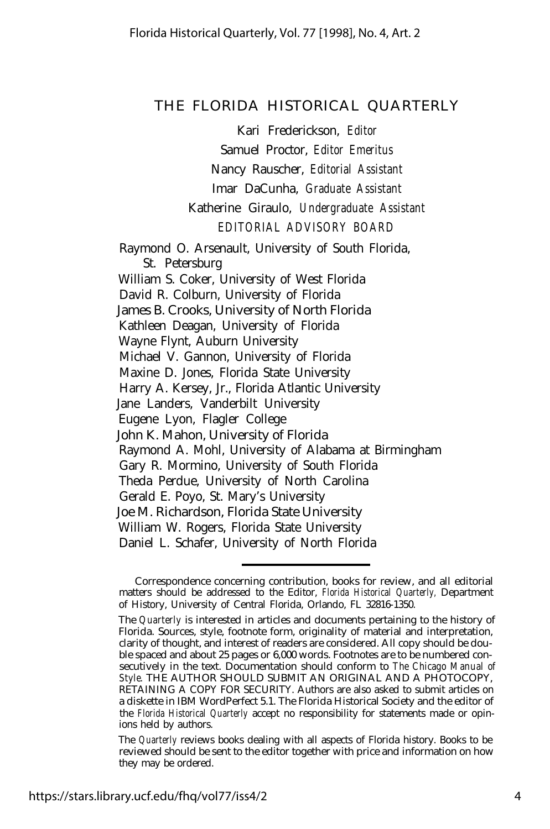#### THE FLORIDA HISTORICAL QUARTERLY

Kari Frederickson, *Editor*

Samuel Proctor, *Editor Emeritus*

Nancy Rauscher, *Editorial Assistant*

Imar DaCunha, *Graduate Assistant*

Katherine Giraulo, *Undergraduate Assistant EDITORIAL ADVISORY BOARD*

Raymond O. Arsenault, University of South Florida, St. Petersburg William S. Coker, University of West Florida David R. Colburn, University of Florida James B. Crooks, University of North Florida Kathleen Deagan, University of Florida Wayne Flynt, Auburn University Michael V. Gannon, University of Florida Maxine D. Jones, Florida State University Harry A. Kersey, Jr., Florida Atlantic University Jane Landers, Vanderbilt University Eugene Lyon, Flagler College John K. Mahon, University of Florida Raymond A. Mohl, University of Alabama at Birmingham Gary R. Mormino, University of South Florida Theda Perdue, University of North Carolina Gerald E. Poyo, St. Mary's University Joe M. Richardson, Florida State University William W. Rogers, Florida State University Daniel L. Schafer, University of North Florida

Correspondence concerning contribution, books for review, and all editorial matters should be addressed to the Editor, *Florida Historical Quarterly,* Department of History, University of Central Florida, Orlando, FL 32816-1350.

The *Quarterly* is interested in articles and documents pertaining to the history of Florida. Sources, style, footnote form, originality of material and interpretation, clarity of thought, and interest of readers are considered. All copy should be double spaced and about 25 pages or 6,000 words. Footnotes are to be numbered consecutively in the text. Documentation should conform to *The Chicago Manual of Style.* THE AUTHOR SHOULD SUBMIT AN ORIGINAL AND A PHOTOCOPY, RETAINING A COPY FOR SECURITY. Authors are also asked to submit articles on a diskette in IBM WordPerfect 5.1. The Florida Historical Society and the editor of the *Florida Historical Quarterly* accept no responsibility for statements made or opinions held by authors.

The *Quarterly* reviews books dealing with all aspects of Florida history. Books to be reviewed should be sent to the editor together with price and information on how they may be ordered.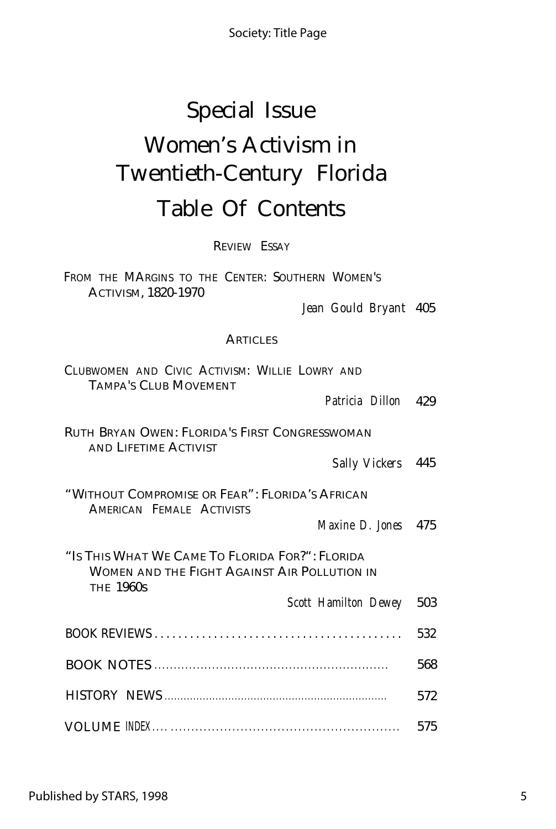Society: Title Page

## Special Issue Women's Activism in Twentieth-Century Florida Table Of Contents

REVIEW ESSAY

FROM THE MARGINS TO THE CENTER: SOUTHERN WOMEN'S ACTIVISM, 1820-1970

*Jean Gould Bryant* 405

### **ARTICLES**

| CLUBWOMEN AND CIVIC ACTIVISM: WILLIE LOWRY AND<br><b>TAMPA'S CLUB MOVEMENT</b>                                      |     |
|---------------------------------------------------------------------------------------------------------------------|-----|
| Patricia Dillon 429                                                                                                 |     |
| <b>RUTH BRYAN OWEN: FLORIDA'S FIRST CONGRESSWOMAN</b><br>AND LIFETIME ACTIVIST                                      |     |
| Sally Vickers 445                                                                                                   |     |
| "Without Compromise or Fear": Florida's African<br>AMERICAN FEMALE ACTIVISTS                                        |     |
| Maxine D. Jones 475                                                                                                 |     |
| "Is This What We Came To Florida For?": Florida<br>WOMEN AND THE FIGHT AGAINST AIR POLLUTION IN<br><b>THE 1960s</b> |     |
| Scott Hamilton Dewey                                                                                                | 503 |
|                                                                                                                     | 532 |
|                                                                                                                     | 568 |
|                                                                                                                     | 572 |
|                                                                                                                     | 575 |